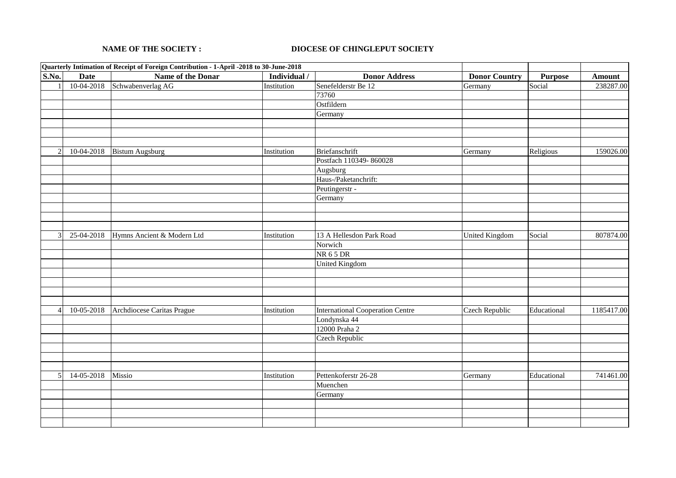## **NAME OF THE SOCIETY : DIOCESE OF CHINGLEPUT SOCIETY**

|                |             | Quarterly Intimation of Receipt of Foreign Contribution - 1-April -2018 to 30-June-2018 |              |                                         |                       |                |            |
|----------------|-------------|-----------------------------------------------------------------------------------------|--------------|-----------------------------------------|-----------------------|----------------|------------|
| S.No.          | <b>Date</b> | <b>Name of the Donar</b>                                                                | Individual / | <b>Donor Address</b>                    | <b>Donor Country</b>  | <b>Purpose</b> | Amount     |
|                | 10-04-2018  | Schwabenverlag AG                                                                       | Institution  | Senefelderstr Be 12                     | Germany               | Social         | 238287.00  |
|                |             |                                                                                         |              | 73760                                   |                       |                |            |
|                |             |                                                                                         |              | Ostfildern                              |                       |                |            |
|                |             |                                                                                         |              | Germany                                 |                       |                |            |
|                |             |                                                                                         |              |                                         |                       |                |            |
|                |             |                                                                                         |              |                                         |                       |                |            |
|                |             |                                                                                         |              |                                         |                       |                |            |
| $\overline{c}$ | 10-04-2018  | <b>Bistum Augsburg</b>                                                                  | Institution  | Briefanschrift                          | Germany               | Religious      | 159026.00  |
|                |             |                                                                                         |              | Postfach 110349-860028                  |                       |                |            |
|                |             |                                                                                         |              | Augsburg                                |                       |                |            |
|                |             |                                                                                         |              | Haus-/Paketanchrift:                    |                       |                |            |
|                |             |                                                                                         |              | Peutingerstr -                          |                       |                |            |
|                |             |                                                                                         |              | Germany                                 |                       |                |            |
|                |             |                                                                                         |              |                                         |                       |                |            |
|                |             |                                                                                         |              |                                         |                       |                |            |
|                |             |                                                                                         |              |                                         |                       |                |            |
| 3              | 25-04-2018  | Hymns Ancient & Modern Ltd                                                              | Institution  | 13 A Hellesdon Park Road                | <b>United Kingdom</b> | Social         | 807874.00  |
|                |             |                                                                                         |              | Norwich                                 |                       |                |            |
|                |             |                                                                                         |              | NR 65DR                                 |                       |                |            |
|                |             |                                                                                         |              | <b>United Kingdom</b>                   |                       |                |            |
|                |             |                                                                                         |              |                                         |                       |                |            |
|                |             |                                                                                         |              |                                         |                       |                |            |
|                |             |                                                                                         |              |                                         |                       |                |            |
|                |             |                                                                                         |              |                                         |                       |                |            |
| $\overline{4}$ | 10-05-2018  | Archdiocese Caritas Prague                                                              | Institution  | <b>International Cooperation Centre</b> | <b>Czech Republic</b> | Educational    | 1185417.00 |
|                |             |                                                                                         |              | Londynska 44                            |                       |                |            |
|                |             |                                                                                         |              | 12000 Praha 2                           |                       |                |            |
|                |             |                                                                                         |              | Czech Republic                          |                       |                |            |
|                |             |                                                                                         |              |                                         |                       |                |            |
|                |             |                                                                                         |              |                                         |                       |                |            |
|                |             |                                                                                         |              |                                         |                       |                |            |
| 5 <sup>1</sup> | 14-05-2018  | Missio                                                                                  | Institution  | Pettenkoferstr 26-28                    | Germany               | Educational    | 741461.00  |
|                |             |                                                                                         |              | Muenchen                                |                       |                |            |
|                |             |                                                                                         |              | Germany                                 |                       |                |            |
|                |             |                                                                                         |              |                                         |                       |                |            |
|                |             |                                                                                         |              |                                         |                       |                |            |
|                |             |                                                                                         |              |                                         |                       |                |            |
|                |             |                                                                                         |              |                                         |                       |                |            |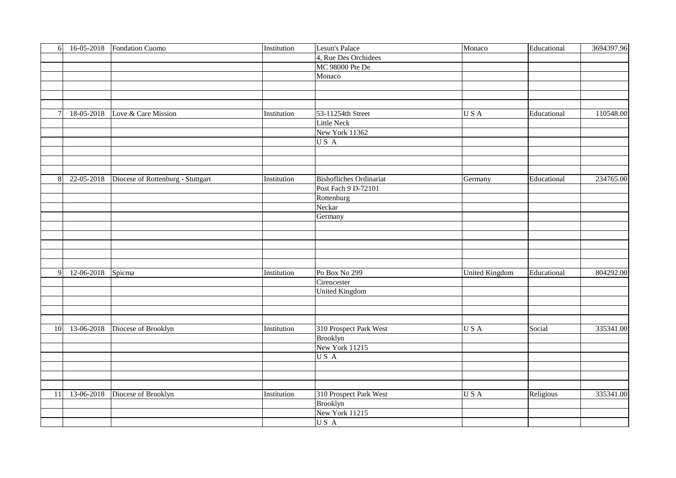| 6              |            | 16-05-2018 Fondation Cuomo        | Institution | Lesun's Palace                 | Monaco                | Educational | 3694397.96 |
|----------------|------------|-----------------------------------|-------------|--------------------------------|-----------------------|-------------|------------|
|                |            |                                   |             | 4, Rue Des Orchidees           |                       |             |            |
|                |            |                                   |             | <b>MC 98000 Pte De</b>         |                       |             |            |
|                |            |                                   |             | Monaco                         |                       |             |            |
|                |            |                                   |             |                                |                       |             |            |
|                |            |                                   |             |                                |                       |             |            |
|                |            |                                   |             |                                |                       |             |            |
| $7\overline{}$ | 18-05-2018 | Love & Care Mission               | Institution | 53-11254th Street              | USA                   | Educational | 110548.00  |
|                |            |                                   |             | <b>Little Neck</b>             |                       |             |            |
|                |            |                                   |             | New York 11362                 |                       |             |            |
|                |            |                                   |             | US A                           |                       |             |            |
|                |            |                                   |             |                                |                       |             |            |
|                |            |                                   |             |                                |                       |             |            |
|                |            |                                   |             |                                |                       |             |            |
| 8              | 22-05-2018 | Diocese of Rottenburg - Stuttgart | Institution | <b>Bishofliches Ordinariat</b> | Germany               | Educational | 234765.00  |
|                |            |                                   |             | Post Fach 9 D-72101            |                       |             |            |
|                |            |                                   |             | Rottenburg                     |                       |             |            |
|                |            |                                   |             | Neckar                         |                       |             |            |
|                |            |                                   |             | Germany                        |                       |             |            |
|                |            |                                   |             |                                |                       |             |            |
|                |            |                                   |             |                                |                       |             |            |
|                |            |                                   |             |                                |                       |             |            |
|                |            |                                   |             |                                |                       |             |            |
|                |            |                                   |             |                                |                       |             |            |
| $\overline{9}$ | 12-06-2018 | Spicma                            | Institution | Po Box No 299                  | <b>United Kingdom</b> | Educational | 804292.00  |
|                |            |                                   |             | Cirencester                    |                       |             |            |
|                |            |                                   |             | <b>United Kingdom</b>          |                       |             |            |
|                |            |                                   |             |                                |                       |             |            |
|                |            |                                   |             |                                |                       |             |            |
|                |            |                                   |             |                                |                       |             |            |
| 10             | 13-06-2018 | Diocese of Brooklyn               | Institution | 310 Prospect Park West         | USA                   | Social      | 335341.00  |
|                |            |                                   |             | <b>Brooklyn</b>                |                       |             |            |
|                |            |                                   |             | New York 11215                 |                       |             |            |
|                |            |                                   |             | US A                           |                       |             |            |
|                |            |                                   |             |                                |                       |             |            |
|                |            |                                   |             |                                |                       |             |            |
|                |            |                                   |             |                                |                       |             |            |
| 11             | 13-06-2018 | Diocese of Brooklyn               | Institution | 310 Prospect Park West         | USA                   | Religious   | 335341.00  |
|                |            |                                   |             | <b>Brooklyn</b>                |                       |             |            |
|                |            |                                   |             | New York 11215                 |                       |             |            |
|                |            |                                   |             | US A                           |                       |             |            |